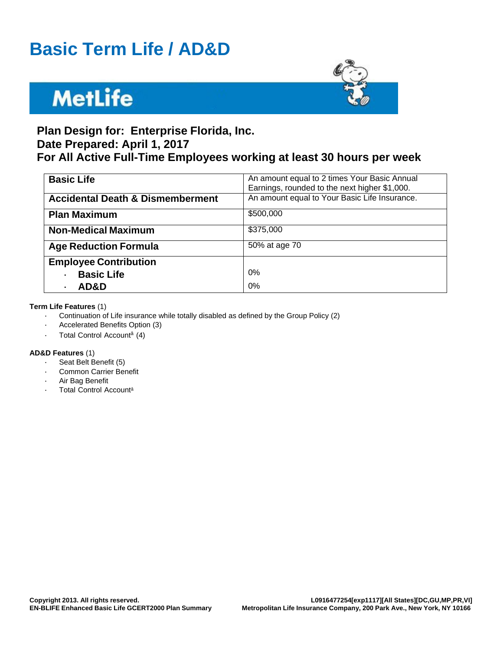## **Basic Term Life / AD&D**

# **MetLife**



## **Plan Design for: Enterprise Florida, Inc. Date Prepared: April 1, 2017**

## **For All Active Full-Time Employees working at least 30 hours per week**

| <b>Basic Life</b>                           | An amount equal to 2 times Your Basic Annual<br>Earnings, rounded to the next higher \$1,000. |
|---------------------------------------------|-----------------------------------------------------------------------------------------------|
| <b>Accidental Death &amp; Dismemberment</b> | An amount equal to Your Basic Life Insurance.                                                 |
| <b>Plan Maximum</b>                         | \$500,000                                                                                     |
| <b>Non-Medical Maximum</b>                  | \$375,000                                                                                     |
| <b>Age Reduction Formula</b>                | 50% at age 70                                                                                 |
| <b>Employee Contribution</b>                |                                                                                               |
| <b>Basic Life</b>                           | 0%                                                                                            |
| AD&D                                        | 0%                                                                                            |

#### **Term Life Features** (1)

- · Continuation of Life insurance while totally disabled as defined by the Group Policy (2)
- Accelerated Benefits Option (3)
- · Total Control Accountâ (4)

#### **AD&D Features** (1)

- Seat Belt Benefit (5)
- **Common Carrier Benefit**
- Air Bag Benefit
- Total Control Account<sup>a</sup>